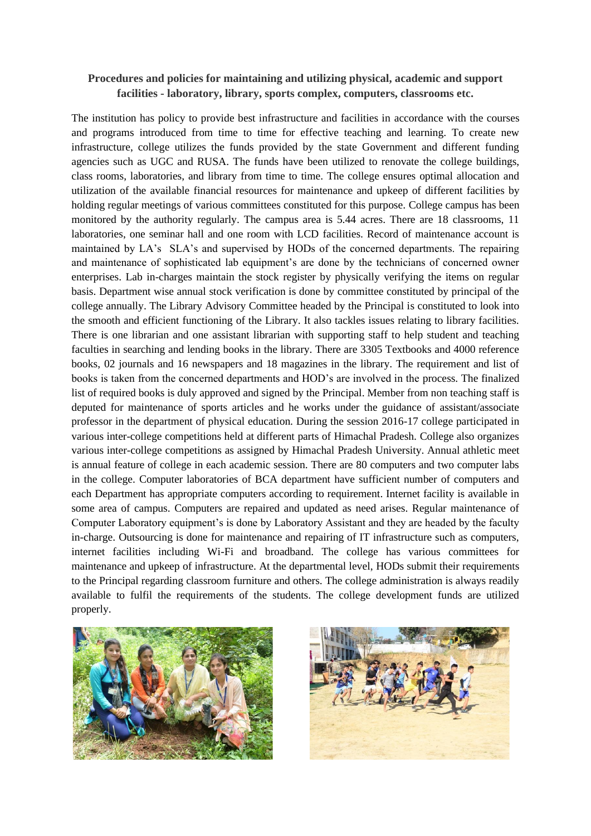## **Procedures and policies for maintaining and utilizing physical, academic and support facilities - laboratory, library, sports complex, computers, classrooms etc.**

The institution has policy to provide best infrastructure and facilities in accordance with the courses and programs introduced from time to time for effective teaching and learning. To create new infrastructure, college utilizes the funds provided by the state Government and different funding agencies such as UGC and RUSA. The funds have been utilized to renovate the college buildings, class rooms, laboratories, and library from time to time. The college ensures optimal allocation and utilization of the available financial resources for maintenance and upkeep of different facilities by holding regular meetings of various committees constituted for this purpose. College campus has been monitored by the authority regularly. The campus area is 5.44 acres. There are 18 classrooms, 11 laboratories, one seminar hall and one room with LCD facilities. Record of maintenance account is maintained by LA's SLA's and supervised by HODs of the concerned departments. The repairing and maintenance of sophisticated lab equipment's are done by the technicians of concerned owner enterprises. Lab in-charges maintain the stock register by physically verifying the items on regular basis. Department wise annual stock verification is done by committee constituted by principal of the college annually. The Library Advisory Committee headed by the Principal is constituted to look into the smooth and efficient functioning of the Library. It also tackles issues relating to library facilities. There is one librarian and one assistant librarian with supporting staff to help student and teaching faculties in searching and lending books in the library. There are 3305 Textbooks and 4000 reference books, 02 journals and 16 newspapers and 18 magazines in the library. The requirement and list of books is taken from the concerned departments and HOD's are involved in the process. The finalized list of required books is duly approved and signed by the Principal. Member from non teaching staff is deputed for maintenance of sports articles and he works under the guidance of assistant/associate professor in the department of physical education. During the session 2016-17 college participated in various inter-college competitions held at different parts of Himachal Pradesh. College also organizes various inter-college competitions as assigned by Himachal Pradesh University. Annual athletic meet is annual feature of college in each academic session. There are 80 computers and two computer labs in the college. Computer laboratories of BCA department have sufficient number of computers and each Department has appropriate computers according to requirement. Internet facility is available in some area of campus. Computers are repaired and updated as need arises. Regular maintenance of Computer Laboratory equipment's is done by Laboratory Assistant and they are headed by the faculty in-charge. Outsourcing is done for maintenance and repairing of IT infrastructure such as computers, internet facilities including Wi-Fi and broadband. The college has various committees for maintenance and upkeep of infrastructure. At the departmental level, HODs submit their requirements to the Principal regarding classroom furniture and others. The college administration is always readily available to fulfil the requirements of the students. The college development funds are utilized properly.